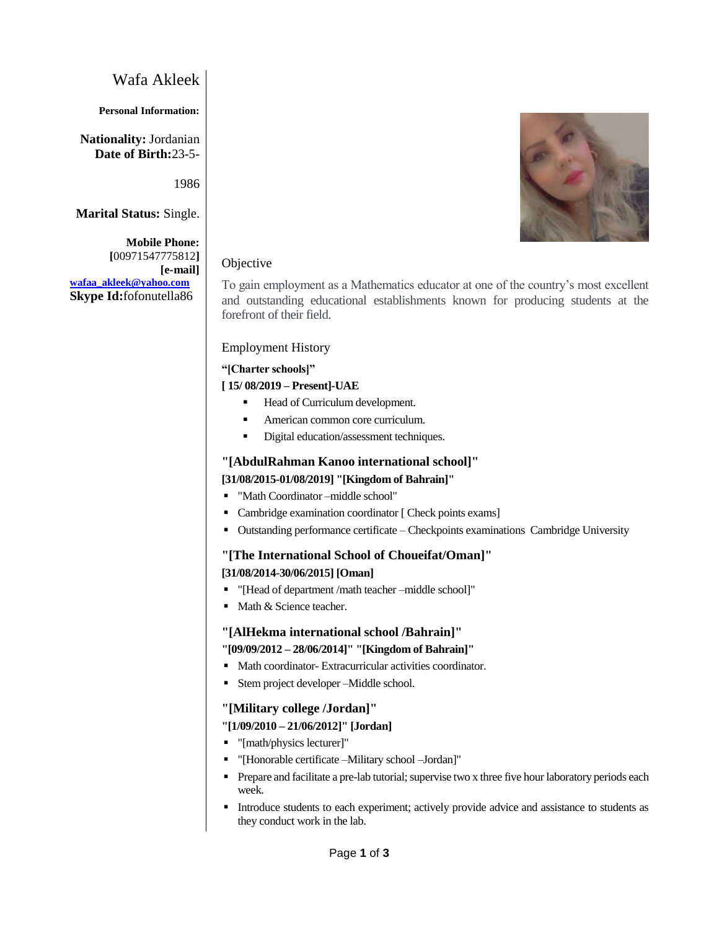# Wafa Akleek

### **Personal Information:**

**Nationality:** Jordanian **Date of Birth:**23-5-

1986

**Marital Status:** Single.

**Mobile Phone: [**00971547775812**] [e-mail] [wafaa\\_akleek@yahoo.com](mailto:wafaa_akleek@yahoo.com) Skype Id:**fofonutella86

# Objective

To gain employment as a Mathematics educator at one of the country's most excellent and outstanding educational establishments known for producing students at the forefront of their field.

### Employment History

#### **"[Charter schools]"**

### **[ 15/ 08/2019 – Present]-UAE**

- Head of Curriculum development.
- American common core curriculum.
- Digital education/assessment techniques.

### **"[AbdulRahman Kanoo international school]"**

### **[31/08/2015-01/08/2019] "[Kingdom of Bahrain]"**

- "Math Coordinator –middle school"
- **Cambridge examination coordinator [ Check points exams]**
- Outstanding performance certificate Checkpoints examinations Cambridge University

# **"[The International School of Choueifat/Oman]"**

### **[31/08/2014-30/06/2015] [Oman]**

- "[Head of department /math teacher –middle school]"
- Math & Science teacher.

### **"[AlHekma international school /Bahrain]"**

# **"[09/09/2012 – 28/06/2014]" "[Kingdom of Bahrain]"**

- Math coordinator- Extracurricular activities coordinator.
- Stem project developer –Middle school.

### **"[Military college /Jordan]"**

### **"[1/09/2010 – 21/06/2012]" [Jordan]**

- "[math/physics lecturer]"
- "[Honorable certificate –Military school –Jordan]"
- **Prepare and facilitate a pre-lab tutorial; supervise two x three five hour laboratory periods each** week.
- Introduce students to each experiment; actively provide advice and assistance to students as they conduct work in the lab.

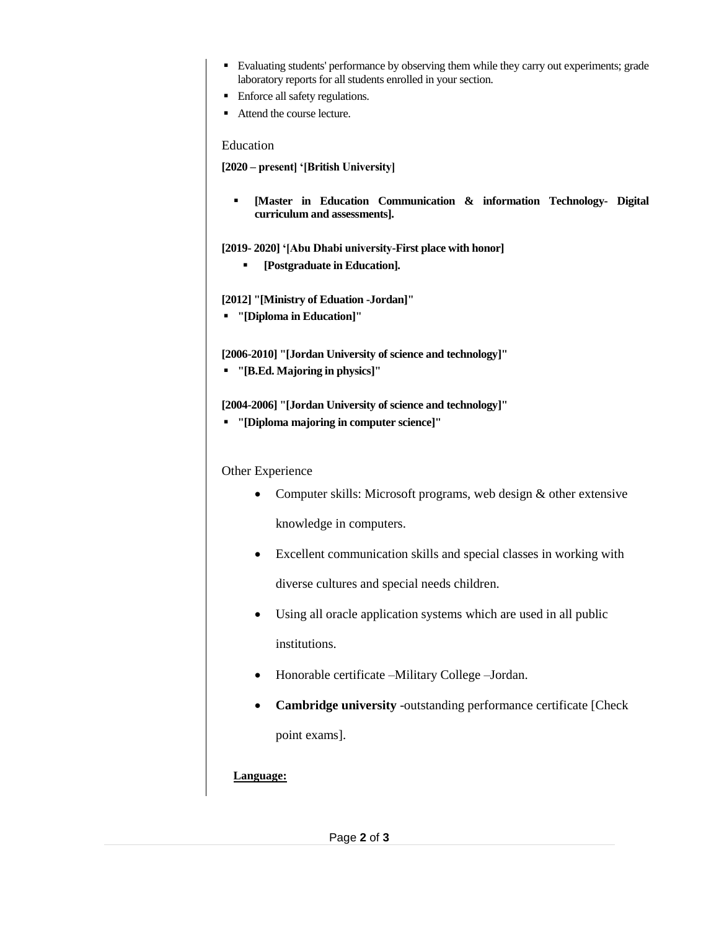- Evaluating students' performance by observing them while they carry out experiments; grade laboratory reports for all students enrolled in your section.
- **Enforce all safety regulations.**
- Attend the course lecture.

### Education

**[2020 – present] '[British University]**

 **[Master in Education Communication & information Technology- Digital curriculum and assessments].**

**[2019- 2020] '[Abu Dhabi university-First place with honor]**

**[Postgraduate in Education].**

**[2012] "[Ministry of Eduation -Jordan]"** 

**"[Diploma in Education]"** 

**[2006-2010] "[Jordan University of science and technology]"** 

**"[B.Ed. Majoring in physics]"** 

**[2004-2006] "[Jordan University of science and technology]"** 

**"[Diploma majoring in computer science]"** 

Other Experience

- Computer skills: Microsoft programs, web design & other extensive knowledge in computers.
- Excellent communication skills and special classes in working with diverse cultures and special needs children.
- Using all oracle application systems which are used in all public institutions.
- Honorable certificate –Military College –Jordan.
- **Cambridge university** -outstanding performance certificate [Check point exams].

# **Language:**